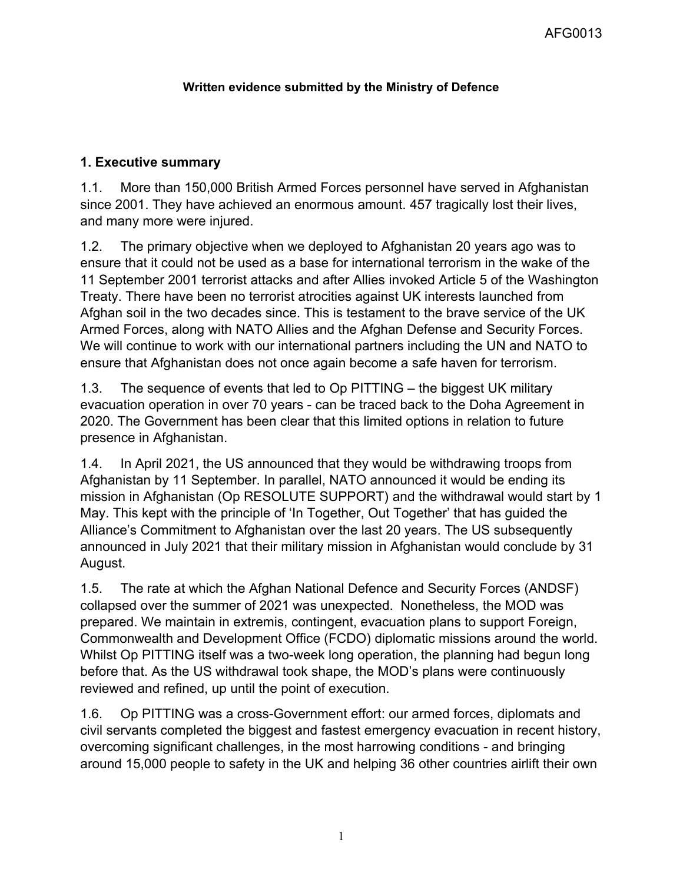## **Written evidence submitted by the Ministry of Defence**

# **1. Executive summary**

1.1. More than 150,000 British Armed Forces personnel have served in Afghanistan since 2001. They have achieved an enormous amount. 457 tragically lost their lives, and many more were injured.

1.2. The primary objective when we deployed to Afghanistan 20 years ago was to ensure that it could not be used as a base for international terrorism in the wake of the 11 September 2001 terrorist attacks and after Allies invoked Article 5 of the Washington Treaty. There have been no terrorist atrocities against UK interests launched from Afghan soil in the two decades since. This is testament to the brave service of the UK Armed Forces, along with NATO Allies and the Afghan Defense and Security Forces. We will continue to work with our international partners including the UN and NATO to ensure that Afghanistan does not once again become a safe haven for terrorism.

1.3. The sequence of events that led to Op PITTING – the biggest UK military evacuation operation in over 70 years - can be traced back to the Doha Agreement in 2020. The Government has been clear that this limited options in relation to future presence in Afghanistan.

1.4. In April 2021, the US announced that they would be withdrawing troops from Afghanistan by 11 September. In parallel, NATO announced it would be ending its mission in Afghanistan (Op RESOLUTE SUPPORT) and the withdrawal would start by 1 May. This kept with the principle of 'In Together, Out Together' that has guided the Alliance's Commitment to Afghanistan over the last 20 years. The US subsequently announced in July 2021 that their military mission in Afghanistan would conclude by 31 August.

1.5. The rate at which the Afghan National Defence and Security Forces (ANDSF) collapsed over the summer of 2021 was unexpected. Nonetheless, the MOD was prepared. We maintain in extremis, contingent, evacuation plans to support Foreign, Commonwealth and Development Office (FCDO) diplomatic missions around the world. Whilst Op PITTING itself was a two-week long operation, the planning had begun long before that. As the US withdrawal took shape, the MOD's plans were continuously reviewed and refined, up until the point of execution.

1.6. Op PITTING was a cross-Government effort: our armed forces, diplomats and civil servants completed the biggest and fastest emergency evacuation in recent history, overcoming significant challenges, in the most harrowing conditions - and bringing around 15,000 people to safety in the UK and helping 36 other countries airlift their own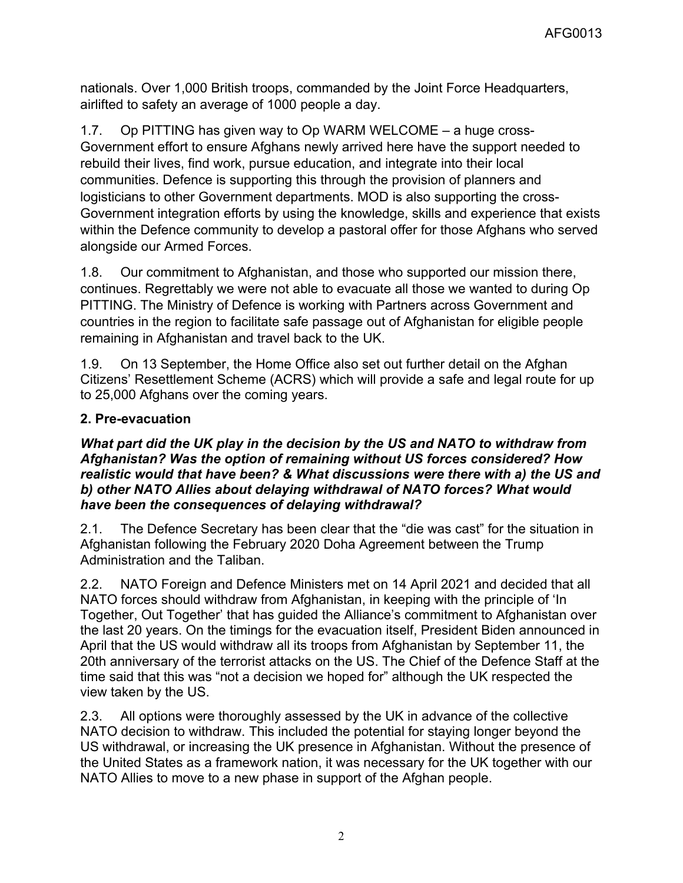nationals. Over 1,000 British troops, commanded by the Joint Force Headquarters, airlifted to safety an average of 1000 people a day.

1.7. Op PITTING has given way to Op WARM WELCOME – a huge cross-Government effort to ensure Afghans newly arrived here have the support needed to rebuild their lives, find work, pursue education, and integrate into their local communities. Defence is supporting this through the provision of planners and logisticians to other Government departments. MOD is also supporting the cross-Government integration efforts by using the knowledge, skills and experience that exists within the Defence community to develop a pastoral offer for those Afghans who served alongside our Armed Forces.

1.8. Our commitment to Afghanistan, and those who supported our mission there, continues. Regrettably we were not able to evacuate all those we wanted to during Op PITTING. The Ministry of Defence is working with Partners across Government and countries in the region to facilitate safe passage out of Afghanistan for eligible people remaining in Afghanistan and travel back to the UK.

1.9. On 13 September, the Home Office also set out further detail on the Afghan Citizens' Resettlement Scheme (ACRS) which will provide a safe and legal route for up to 25,000 Afghans over the coming years.

# **2. Pre-evacuation**

#### *What part did the UK play in the decision by the US and NATO to withdraw from Afghanistan? Was the option of remaining without US forces considered? How realistic would that have been? & What discussions were there with a) the US and b) other NATO Allies about delaying withdrawal of NATO forces? What would have been the consequences of delaying withdrawal?*

2.1. The Defence Secretary has been clear that the "die was cast" for the situation in Afghanistan following the February 2020 Doha Agreement between the Trump Administration and the Taliban.

2.2. NATO Foreign and Defence Ministers met on 14 April 2021 and decided that all NATO forces should withdraw from Afghanistan, in keeping with the principle of 'In Together, Out Together' that has guided the Alliance's commitment to Afghanistan over the last 20 years. On the timings for the evacuation itself, President Biden announced in April that the US would withdraw all its troops from Afghanistan by September 11, the 20th anniversary of the terrorist attacks on the US. The Chief of the Defence Staff at the time said that this was "not a decision we hoped for" although the UK respected the view taken by the US.

2.3. All options were thoroughly assessed by the UK in advance of the collective NATO decision to withdraw. This included the potential for staying longer beyond the US withdrawal, or increasing the UK presence in Afghanistan. Without the presence of the United States as a framework nation, it was necessary for the UK together with our NATO Allies to move to a new phase in support of the Afghan people.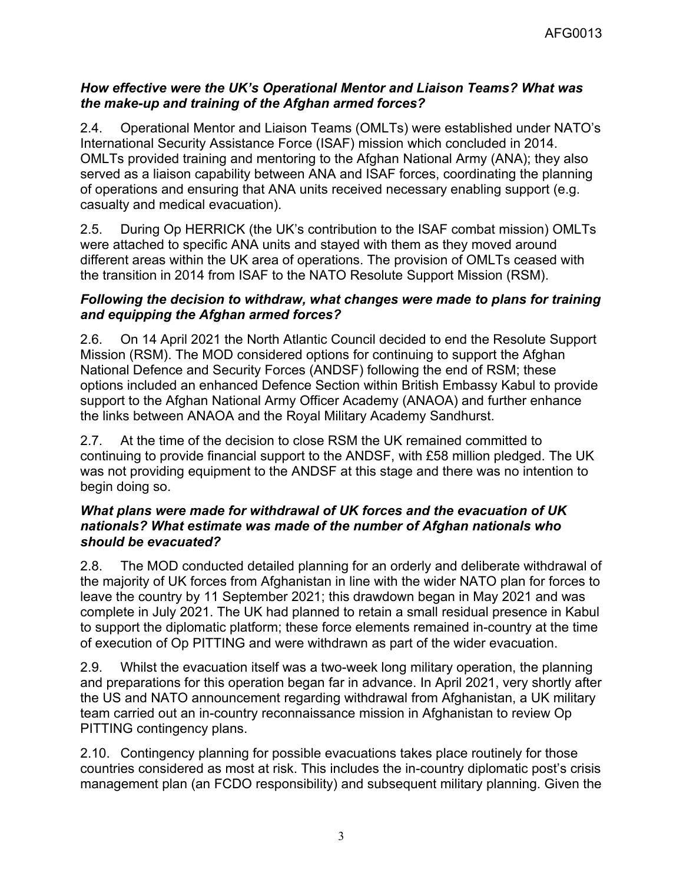### *How effective were the UK's Operational Mentor and Liaison Teams? What was the make-up and training of the Afghan armed forces?*

2.4. Operational Mentor and Liaison Teams (OMLTs) were established under NATO's International Security Assistance Force (ISAF) mission which concluded in 2014. OMLTs provided training and mentoring to the Afghan National Army (ANA); they also served as a liaison capability between ANA and ISAF forces, coordinating the planning of operations and ensuring that ANA units received necessary enabling support (e.g. casualty and medical evacuation).

2.5. During Op HERRICK (the UK's contribution to the ISAF combat mission) OMLTs were attached to specific ANA units and stayed with them as they moved around different areas within the UK area of operations. The provision of OMLTs ceased with the transition in 2014 from ISAF to the NATO Resolute Support Mission (RSM).

### *Following the decision to withdraw, what changes were made to plans for training and equipping the Afghan armed forces?*

2.6. On 14 April 2021 the North Atlantic Council decided to end the Resolute Support Mission (RSM). The MOD considered options for continuing to support the Afghan National Defence and Security Forces (ANDSF) following the end of RSM; these options included an enhanced Defence Section within British Embassy Kabul to provide support to the Afghan National Army Officer Academy (ANAOA) and further enhance the links between ANAOA and the Royal Military Academy Sandhurst.

2.7. At the time of the decision to close RSM the UK remained committed to continuing to provide financial support to the ANDSF, with £58 million pledged. The UK was not providing equipment to the ANDSF at this stage and there was no intention to begin doing so.

#### *What plans were made for withdrawal of UK forces and the evacuation of UK nationals? What estimate was made of the number of Afghan nationals who should be evacuated?*

2.8. The MOD conducted detailed planning for an orderly and deliberate withdrawal of the majority of UK forces from Afghanistan in line with the wider NATO plan for forces to leave the country by 11 September 2021; this drawdown began in May 2021 and was complete in July 2021. The UK had planned to retain a small residual presence in Kabul to support the diplomatic platform; these force elements remained in-country at the time of execution of Op PITTING and were withdrawn as part of the wider evacuation.

2.9. Whilst the evacuation itself was a two-week long military operation, the planning and preparations for this operation began far in advance. In April 2021, very shortly after the US and NATO announcement regarding withdrawal from Afghanistan, a UK military team carried out an in-country reconnaissance mission in Afghanistan to review Op PITTING contingency plans.

2.10. Contingency planning for possible evacuations takes place routinely for those countries considered as most at risk. This includes the in-country diplomatic post's crisis management plan (an FCDO responsibility) and subsequent military planning. Given the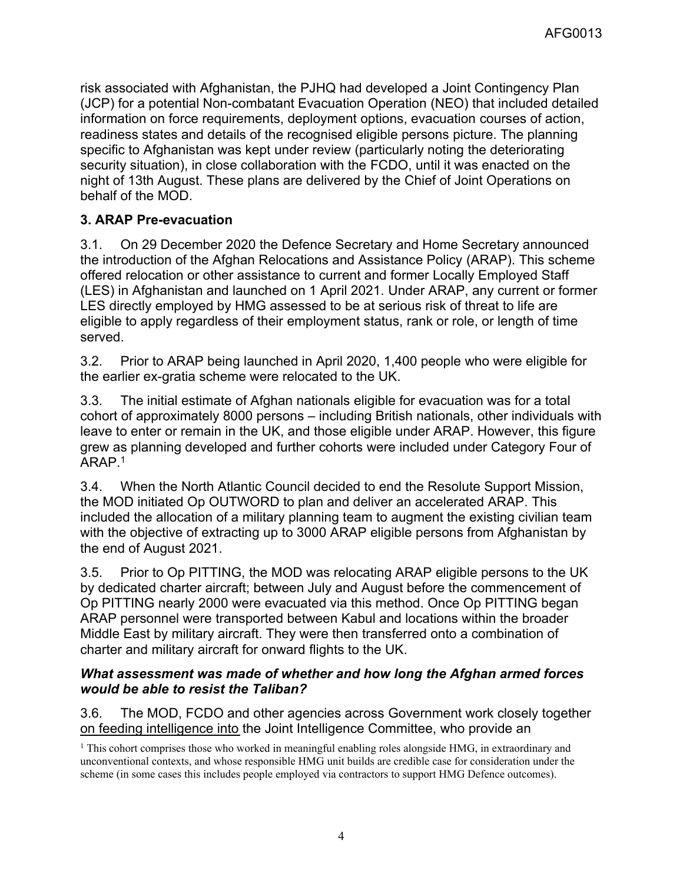risk associated with Afghanistan, the PJHQ had developed a Joint Contingency Plan (JCP) for a potential Non-combatant Evacuation Operation (NEO) that included detailed information on force requirements, deployment options, evacuation courses of action, readiness states and details of the recognised eligible persons picture. The planning specific to Afghanistan was kept under review (particularly noting the deteriorating security situation), in close collaboration with the FCDO, until it was enacted on the night of 13th August. These plans are delivered by the Chief of Joint Operations on behalf of the MOD.

# **3. ARAP Pre-evacuation**

3.1. On 29 December 2020 the Defence Secretary and Home Secretary announced the introduction of the Afghan Relocations and Assistance Policy (ARAP). This scheme offered relocation or other assistance to current and former Locally Employed Staff (LES) in Afghanistan and launched on 1 April 2021. Under ARAP, any current or former LES directly employed by HMG assessed to be at serious risk of threat to life are eligible to apply regardless of their employment status, rank or role, or length of time served.

3.2. Prior to ARAP being launched in April 2020, 1,400 people who were eligible for the earlier ex-gratia scheme were relocated to the UK.

3.3. The initial estimate of Afghan nationals eligible for evacuation was for a total cohort of approximately 8000 persons – including British nationals, other individuals with leave to enter or remain in the UK, and those eligible under ARAP. However, this figure grew as planning developed and further cohorts were included under Category Four of  $ARAP<sup>1</sup>$ 

3.4. When the North Atlantic Council decided to end the Resolute Support Mission, the MOD initiated Op OUTWORD to plan and deliver an accelerated ARAP. This included the allocation of a military planning team to augment the existing civilian team with the objective of extracting up to 3000 ARAP eligible persons from Afghanistan by the end of August 2021.

3.5. Prior to Op PITTING, the MOD was relocating ARAP eligible persons to the UK by dedicated charter aircraft; between July and August before the commencement of Op PITTING nearly 2000 were evacuated via this method. Once Op PITTING began ARAP personnel were transported between Kabul and locations within the broader Middle East by military aircraft. They were then transferred onto a combination of charter and military aircraft for onward flights to the UK.

## *What assessment was made of whether and how long the Afghan armed forces would be able to resist the Taliban?*

3.6. The MOD, FCDO and other agencies across Government work closely together on feeding intelligence into the Joint Intelligence Committee, who provide an

<sup>1</sup> This cohort comprises those who worked in meaningful enabling roles alongside HMG, in extraordinary and unconventional contexts, and whose responsible HMG unit builds are credible case for consideration under the scheme (in some cases this includes people employed via contractors to support HMG Defence outcomes).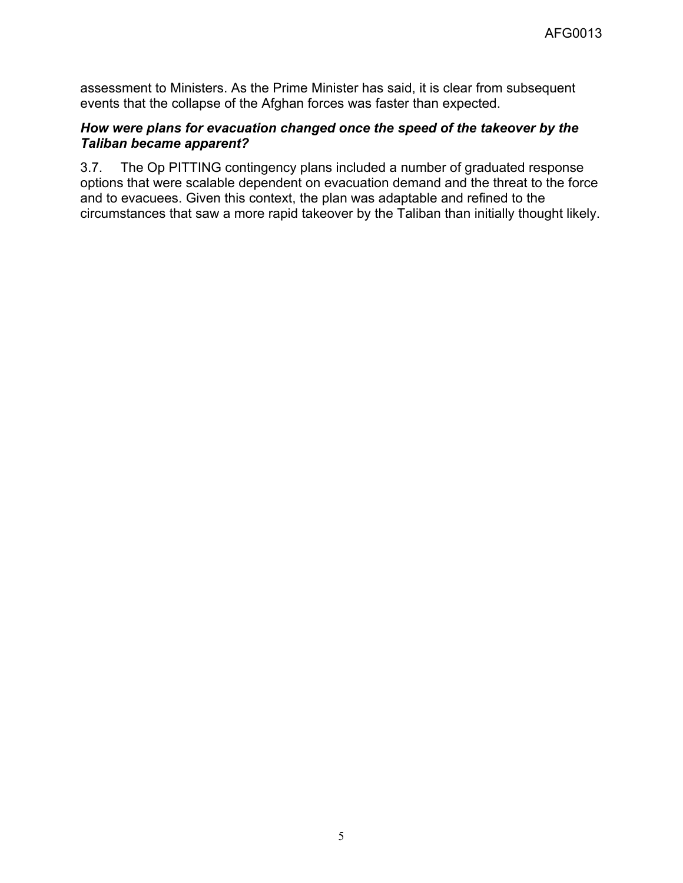assessment to Ministers. As the Prime Minister has said, it is clear from subsequent events that the collapse of the Afghan forces was faster than expected.

#### *How were plans for evacuation changed once the speed of the takeover by the Taliban became apparent?*

3.7. The Op PITTING contingency plans included a number of graduated response options that were scalable dependent on evacuation demand and the threat to the force and to evacuees. Given this context, the plan was adaptable and refined to the circumstances that saw a more rapid takeover by the Taliban than initially thought likely.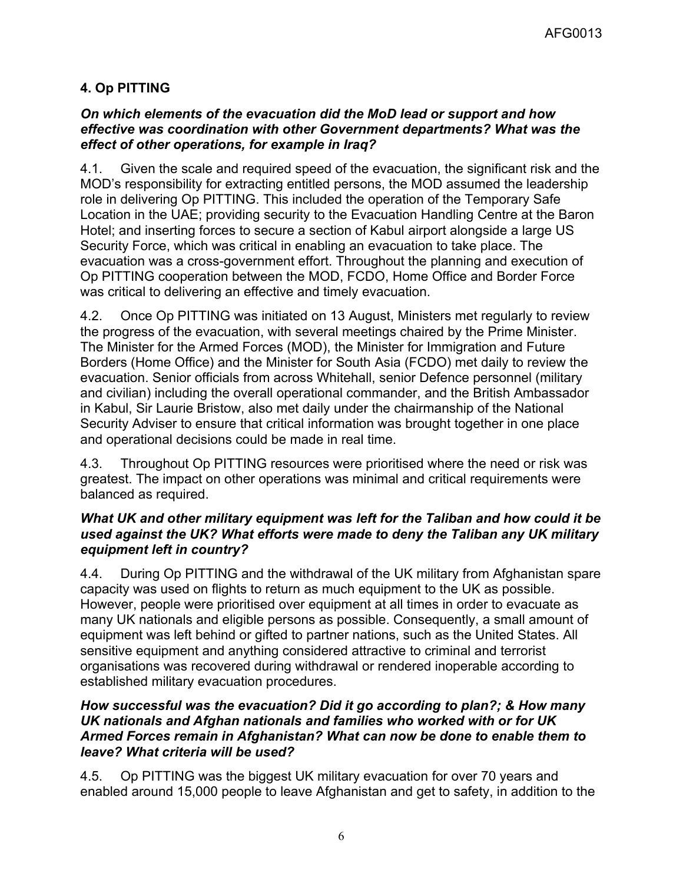# **4. Op PITTING**

### *On which elements of the evacuation did the MoD lead or support and how effective was coordination with other Government departments? What was the effect of other operations, for example in Iraq?*

4.1. Given the scale and required speed of the evacuation, the significant risk and the MOD's responsibility for extracting entitled persons, the MOD assumed the leadership role in delivering Op PITTING. This included the operation of the Temporary Safe Location in the UAE; providing security to the Evacuation Handling Centre at the Baron Hotel; and inserting forces to secure a section of Kabul airport alongside a large US Security Force, which was critical in enabling an evacuation to take place. The evacuation was a cross-government effort. Throughout the planning and execution of Op PITTING cooperation between the MOD, FCDO, Home Office and Border Force was critical to delivering an effective and timely evacuation.

4.2. Once Op PITTING was initiated on 13 August, Ministers met regularly to review the progress of the evacuation, with several meetings chaired by the Prime Minister. The Minister for the Armed Forces (MOD), the Minister for Immigration and Future Borders (Home Office) and the Minister for South Asia (FCDO) met daily to review the evacuation. Senior officials from across Whitehall, senior Defence personnel (military and civilian) including the overall operational commander, and the British Ambassador in Kabul, Sir Laurie Bristow, also met daily under the chairmanship of the National Security Adviser to ensure that critical information was brought together in one place and operational decisions could be made in real time.

4.3. Throughout Op PITTING resources were prioritised where the need or risk was greatest. The impact on other operations was minimal and critical requirements were balanced as required.

### *What UK and other military equipment was left for the Taliban and how could it be used against the UK? What efforts were made to deny the Taliban any UK military equipment left in country?*

4.4. During Op PITTING and the withdrawal of the UK military from Afghanistan spare capacity was used on flights to return as much equipment to the UK as possible. However, people were prioritised over equipment at all times in order to evacuate as many UK nationals and eligible persons as possible. Consequently, a small amount of equipment was left behind or gifted to partner nations, such as the United States. All sensitive equipment and anything considered attractive to criminal and terrorist organisations was recovered during withdrawal or rendered inoperable according to established military evacuation procedures.

### *How successful was the evacuation? Did it go according to plan?; & How many UK nationals and Afghan nationals and families who worked with or for UK Armed Forces remain in Afghanistan? What can now be done to enable them to leave? What criteria will be used?*

4.5. Op PITTING was the biggest UK military evacuation for over 70 years and enabled around 15,000 people to leave Afghanistan and get to safety, in addition to the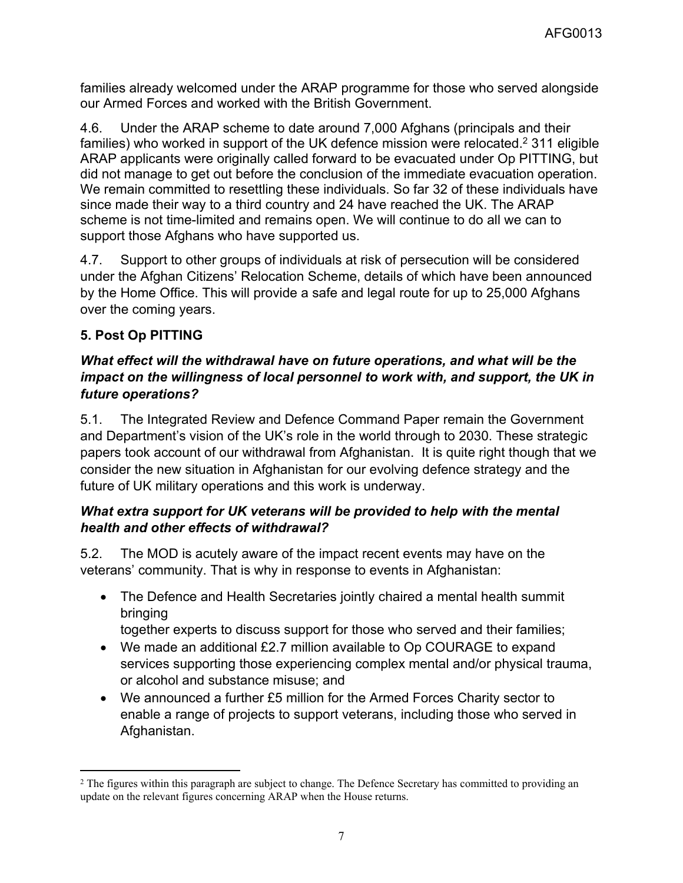families already welcomed under the ARAP programme for those who served alongside our Armed Forces and worked with the British Government.

4.6. Under the ARAP scheme to date around 7,000 Afghans (principals and their families) who worked in support of the UK defence mission were relocated.<sup>2</sup> 311 eligible ARAP applicants were originally called forward to be evacuated under Op PITTING, but did not manage to get out before the conclusion of the immediate evacuation operation. We remain committed to resettling these individuals. So far 32 of these individuals have since made their way to a third country and 24 have reached the UK. The ARAP scheme is not time-limited and remains open. We will continue to do all we can to support those Afghans who have supported us.

4.7. Support to other groups of individuals at risk of persecution will be considered under the Afghan Citizens' Relocation Scheme, details of which have been announced by the Home Office. This will provide a safe and legal route for up to 25,000 Afghans over the coming years.

# **5. Post Op PITTING**

# *What effect will the withdrawal have on future operations, and what will be the impact on the willingness of local personnel to work with, and support, the UK in future operations?*

5.1. The Integrated Review and Defence Command Paper remain the Government and Department's vision of the UK's role in the world through to 2030. These strategic papers took account of our withdrawal from Afghanistan. It is quite right though that we consider the new situation in Afghanistan for our evolving defence strategy and the future of UK military operations and this work is underway.

# *What extra support for UK veterans will be provided to help with the mental health and other effects of withdrawal?*

5.2. The MOD is acutely aware of the impact recent events may have on the veterans' community. That is why in response to events in Afghanistan:

- The Defence and Health Secretaries jointly chaired a mental health summit bringing
	- together experts to discuss support for those who served and their families;
- We made an additional £2.7 million available to Op COURAGE to expand services supporting those experiencing complex mental and/or physical trauma, or alcohol and substance misuse; and
- We announced a further £5 million for the Armed Forces Charity sector to enable a range of projects to support veterans, including those who served in Afghanistan.

<sup>&</sup>lt;sup>2</sup> The figures within this paragraph are subject to change. The Defence Secretary has committed to providing an update on the relevant figures concerning ARAP when the House returns.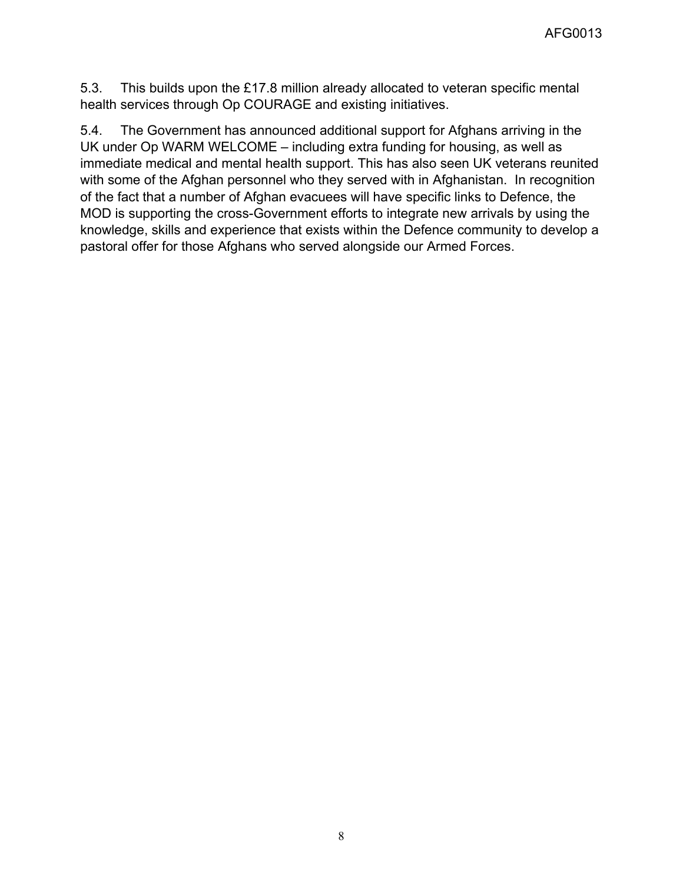5.3. This builds upon the £17.8 million already allocated to veteran specific mental health services through Op COURAGE and existing initiatives.

5.4. The Government has announced additional support for Afghans arriving in the UK under Op WARM WELCOME – including extra funding for housing, as well as immediate medical and mental health support. This has also seen UK veterans reunited with some of the Afghan personnel who they served with in Afghanistan. In recognition of the fact that a number of Afghan evacuees will have specific links to Defence, the MOD is supporting the cross-Government efforts to integrate new arrivals by using the knowledge, skills and experience that exists within the Defence community to develop a pastoral offer for those Afghans who served alongside our Armed Forces.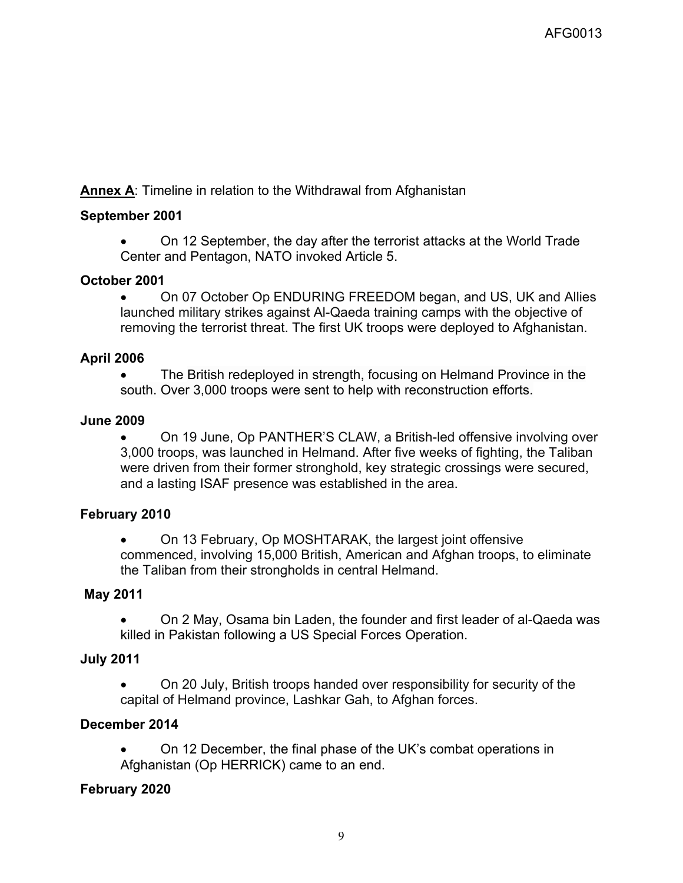**Annex A**: Timeline in relation to the Withdrawal from Afghanistan

## **September 2001**

 On 12 September, the day after the terrorist attacks at the World Trade Center and Pentagon, NATO invoked Article 5.

### **October 2001**

 On 07 October Op ENDURING FREEDOM began, and US, UK and Allies launched military strikes against Al-Qaeda training camps with the objective of removing the terrorist threat. The first UK troops were deployed to Afghanistan.

### **April 2006**

 The British redeployed in strength, focusing on Helmand Province in the south. Over 3,000 troops were sent to help with reconstruction efforts.

#### **June 2009**

 On 19 June, Op PANTHER'S CLAW, a British-led offensive involving over 3,000 troops, was launched in Helmand. After five weeks of fighting, the Taliban were driven from their former stronghold, key strategic crossings were secured, and a lasting ISAF presence was established in the area.

#### **February 2010**

• On 13 February, Op MOSHTARAK, the largest joint offensive commenced, involving 15,000 British, American and Afghan troops, to eliminate the Taliban from their strongholds in central Helmand.

## **May 2011**

• On 2 May, Osama bin Laden, the founder and first leader of al-Qaeda was killed in Pakistan following a US Special Forces Operation.

#### **July 2011**

 On 20 July, British troops handed over responsibility for security of the capital of Helmand province, Lashkar Gah, to Afghan forces.

#### **December 2014**

 On 12 December, the final phase of the UK's combat operations in Afghanistan (Op HERRICK) came to an end.

#### **February 2020**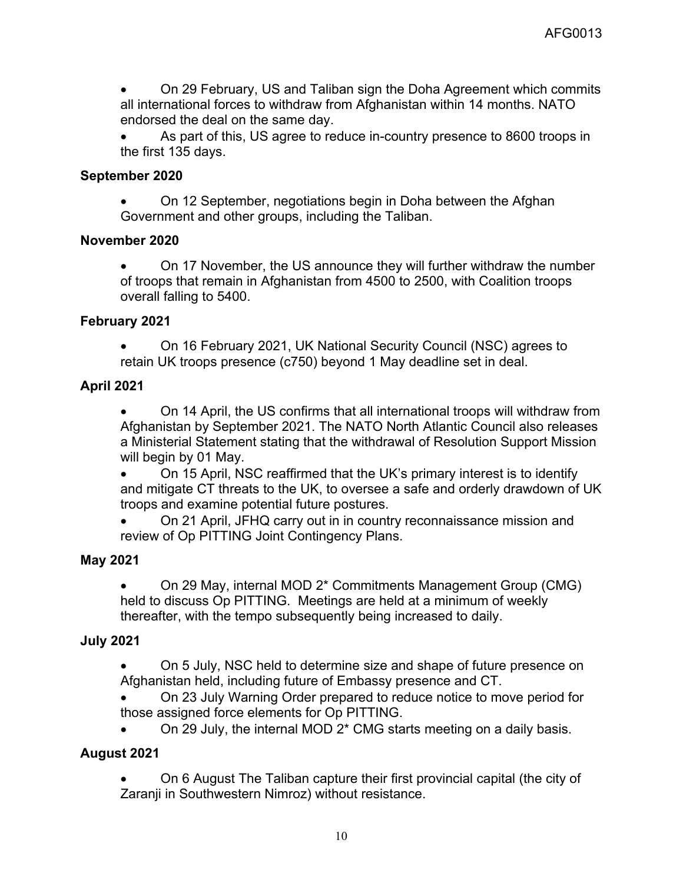On 29 February, US and Taliban sign the Doha Agreement which commits all international forces to withdraw from Afghanistan within 14 months. NATO endorsed the deal on the same day.

 As part of this, US agree to reduce in-country presence to 8600 troops in the first 135 days.

## **September 2020**

 On 12 September, negotiations begin in Doha between the Afghan Government and other groups, including the Taliban.

## **November 2020**

 On 17 November, the US announce they will further withdraw the number of troops that remain in Afghanistan from 4500 to 2500, with Coalition troops overall falling to 5400.

### **February 2021**

 On 16 February 2021, UK National Security Council (NSC) agrees to retain UK troops presence (c750) beyond 1 May deadline set in deal.

# **April 2021**

 On 14 April, the US confirms that all international troops will withdraw from Afghanistan by September 2021. The NATO North Atlantic Council also releases a Ministerial Statement stating that the withdrawal of Resolution Support Mission will begin by 01 May.

 On 15 April, NSC reaffirmed that the UK's primary interest is to identify and mitigate CT threats to the UK, to oversee a safe and orderly drawdown of UK troops and examine potential future postures.

 On 21 April, JFHQ carry out in in country reconnaissance mission and review of Op PITTING Joint Contingency Plans.

## **May 2021**

 On 29 May, internal MOD 2\* Commitments Management Group (CMG) held to discuss Op PITTING. Meetings are held at a minimum of weekly thereafter, with the tempo subsequently being increased to daily.

# **July 2021**

 On 5 July, NSC held to determine size and shape of future presence on Afghanistan held, including future of Embassy presence and CT.

 On 23 July Warning Order prepared to reduce notice to move period for those assigned force elements for Op PITTING.

On 29 July, the internal MOD 2\* CMG starts meeting on a daily basis.

## **August 2021**

 On 6 August The Taliban capture their first provincial capital (the city of Zaranji in Southwestern Nimroz) without resistance.